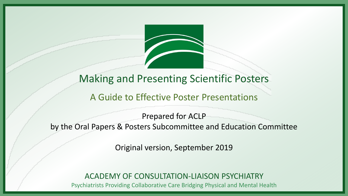

#### Making and Presenting Scientific Posters

#### A Guide to Effective Poster Presentations

Prepared for ACLP by the Oral Papers & Posters Subcommittee and Education Committee

Original version, September 2019

ACADEMY OF CONSULTATION-LIAISON PSYCHIATRY

Psychiatrists Providing Collaborative Care Bridging Physical and Mental Health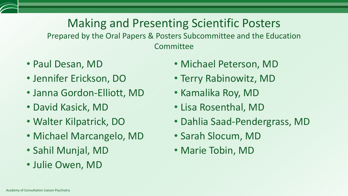## Making and Presenting Scientific Posters

Prepared by the Oral Papers & Posters Subcommittee and the Education **Committee** 

- Paul Desan, MD
- Jennifer Erickson, DO
- Janna Gordon-Elliott, MD
- David Kasick, MD
- Walter Kilpatrick, DO
- Michael Marcangelo, MD
- Sahil Munjal, MD
- Julie Owen, MD
- Michael Peterson, MD
- Terry Rabinowitz, MD
- Kamalika Roy, MD
- Lisa Rosenthal, MD
- Dahlia Saad-Pendergrass, MD
- Sarah Slocum, MD
- Marie Tobin, MD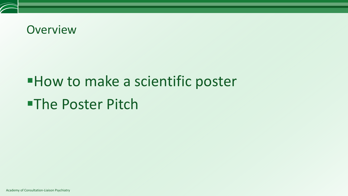#### **Overview**

# **How to make a scientific poster -The Poster Pitch**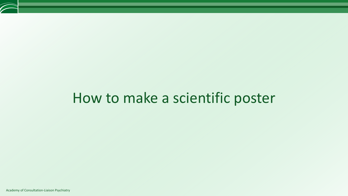# How to make a scientific poster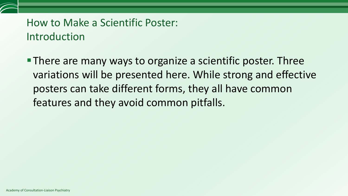

**There are many ways to organize a scientific poster. Three** variations will be presented here. While strong and effective posters can take different forms, they all have common features and they avoid common pitfalls.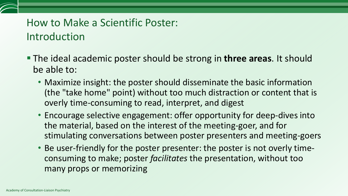#### How to Make a Scientific Poster: Introduction

- The ideal academic poster should be strong in **three areas**. It should be able to:
	- Maximize insight: the poster should disseminate the basic information (the "take home" point) without too much distraction or content that is overly time-consuming to read, interpret, and digest
	- Encourage selective engagement: offer opportunity for deep-dives into the material, based on the interest of the meeting-goer, and for stimulating conversations between poster presenters and meeting-goers
	- Be user-friendly for the poster presenter: the poster is not overly timeconsuming to make; poster *facilitates* the presentation, without too many props or memorizing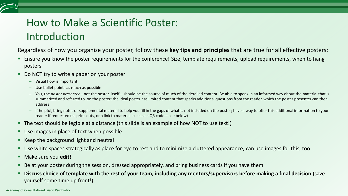#### How to Make a Scientific Poster: Introduction

Regardless of how you organize your poster, follow these **key tips and principles** that are true for all effective posters:

- Ensure you know the poster requirements for the conference! Size, template requirements, upload requirements, when to hang posters
- Do NOT try to write a paper on your poster
	- Visual flow is important
	- Use bullet points as much as possible
	- You, the *poster presenter* not the poster, itself should be the source of much of the detailed content. Be able to speak in an informed way about the material that is summarized and referred to, on the poster; the ideal poster has limited content that sparks additional questions from the reader, which the poster presenter can then address
	- If helpful, bring notes or supplemental material to help you fill in the gaps of what is not included on the poster; have a way to offer this additional information to your reader if requested (as print-outs, or a link to material, such as a QR code – see below)
- The text should be legible at a distance (*this slide is an example of how NOT to use text!*)
- Use images in place of text when possible
- Keep the background light and neutral
- Use white spaces strategically as place for eye to rest and to minimize a cluttered appearance; can use images for this, too
- Make sure you **edit!**
- Be at your poster during the session, dressed appropriately, and bring business cards if you have them
- **Discuss choice of template with the rest of your team, including any mentors/supervisors before making a final decision** (save yourself some time up front!)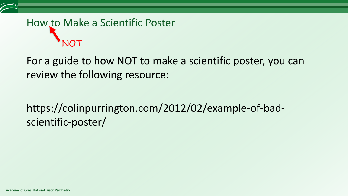## How to Make a Scientific Poster NOT

For a guide to how NOT to make a scientific poster, you can review the following resource:

### https://colinpurrington.com/2012/02/example-of-badscientific-poster/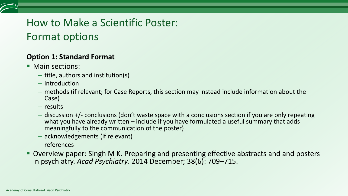#### How to Make a Scientific Poster: Format options

#### **Option 1: Standard Format**

- **Main sections:** 
	- title, authors and institution(s)
	- introduction
	- methods (if relevant; for Case Reports, this section may instead include information about the Case)
	- results
	- discussion +/- conclusions (don't waste space with a conclusions section if you are only repeating what you have already written – include if you have formulated a useful summary that adds meaningfully to the communication of the poster)
	- acknowledgements (if relevant)
	- references
- Overview paper: Singh M K. Preparing and presenting effective abstracts and and posters in psychiatry. *Acad Psychiatry*. 2014 December; 38(6): 709–715.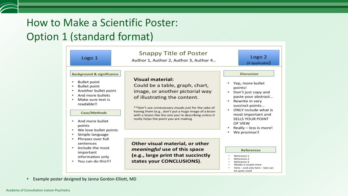#### How to Make a Scientific Poster: Option 1 (standard format)

| Logo 1                                                                                                                                                            | <b>Snappy Title of Poster</b><br>Author 1, Author 2, Author 3, Author 4                                                                                                                                                                                                                                                                          | Logo <sub>2</sub><br>(if applicable)                                                                                                                                                                                            |  |
|-------------------------------------------------------------------------------------------------------------------------------------------------------------------|--------------------------------------------------------------------------------------------------------------------------------------------------------------------------------------------------------------------------------------------------------------------------------------------------------------------------------------------------|---------------------------------------------------------------------------------------------------------------------------------------------------------------------------------------------------------------------------------|--|
| <b>Background &amp; significance</b>                                                                                                                              |                                                                                                                                                                                                                                                                                                                                                  | <b>Discussion</b>                                                                                                                                                                                                               |  |
| <b>Bullet point</b><br><b>Bullet point</b><br>Another bullet point<br>And more bullets<br>Make sure text is<br>٠<br>readable!!<br>Case/Methods<br>And more bullet | <b>Visual material:</b><br>Could be a table, graph, chart,<br>image, or another pictorial way<br>of illustrating the content.<br>**Don't use unnecessary visuals just for the sake of<br>having them (e.g., don't put a huge image of a brain<br>with a lesion like the one you're describing unless it<br>really helps the point you are making | Yep, more bullet<br>points!<br>Don't just copy and<br>paste your abstract<br>Rewrite in very<br>succinct points<br>• ONLY include what is<br>most important and<br><b>SELLS YOUR POINT</b><br>OF VIFW<br>Really - less is more! |  |
| points<br>We love bullet points                                                                                                                                   |                                                                                                                                                                                                                                                                                                                                                  |                                                                                                                                                                                                                                 |  |
| Simple language                                                                                                                                                   |                                                                                                                                                                                                                                                                                                                                                  | We promise!!                                                                                                                                                                                                                    |  |
| Phrases over full<br>sentences                                                                                                                                    | Other visual material, or other                                                                                                                                                                                                                                                                                                                  |                                                                                                                                                                                                                                 |  |
| Include the most<br>$\bullet$<br>important<br>information only<br>• You can do this!!!                                                                            | meaningful use of this space<br>(e.g., large print that succinctly<br>states your CONCLUSIONS).                                                                                                                                                                                                                                                  | <b>References</b><br>Reference 1<br>Reference 2<br>Reference 3<br>Maybe a couple more<br>Here - and only here - text can                                                                                                        |  |

**Example poster designed by Janna Gordon-Elliott, MD**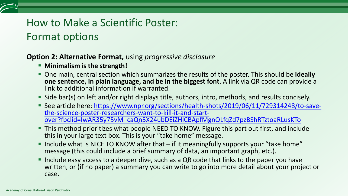#### How to Make a Scientific Poster: Format options

#### **Option 2: Alternative Format,** using *progressive disclosure*

- **F** Minimalism is the strength!
- One main, central section which summarizes the results of the poster. This should be **ideally one sentence, in plain language, and be in the biggest font**. A link via QR code can provide a link to additional information if warranted.
- **Side bar(s) on left and/or right displays title, authors, intro, methods, and results concisely.**
- [See article here: https://www.npr.org/sections/health-shots/2019/06/11/729314248/to-save](https://www.npr.org/sections/health-shots/2019/06/11/729314248/to-save-the-science-poster-researchers-want-to-kill-it-and-start-over?fbclid=IwAR35y75vM_caQn5X24ubDEiZHlCBApfMgnQLfqZd7pzBShRTztoaRLusKTo)the-science-poster-researchers-want-to-kill-it-and-startover?fbclid=IwAR35y75vM\_caQn5X24ubDEiZHlCBApfMgnQLfqZd7pzBShRTztoaRLusKTo
- This method prioritizes what people NEED TO KNOW. Figure this part out first, and include this in your large text box. This is your "take home" message.
- Include what is NICE TO KNOW after that  $-$  if it meaningfully supports your "take home" message (this could include a brief summary of data, an important graph, etc.).
- Include easy access to a deeper dive, such as a QR code that links to the paper you have written, or (if no paper) a summary you can write to go into more detail about your project or case.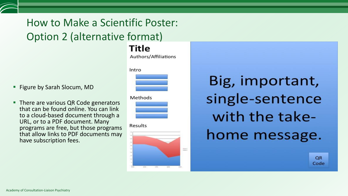## How to Make a Scientific Poster: Option 2 (alternative format)

**Title** 

Authors/Affiliations

- **Figure by Sarah Slocum, MD**
- There are various QR Code generators that can be found online. You can link to a cloud-based document through a URL, or to a PDF document. Many programs are free, but those programs that allow links to PDF documents may have subscription fees.



Methods

Results



Big, important, single-sentence with the takehome message.

> **QR** Code

Academy of Consultation-Liaison Psychiatry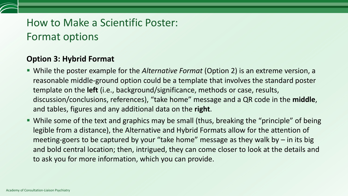#### How to Make a Scientific Poster: Format options

#### **Option 3: Hybrid Format**

- While the poster example for the *Alternative Format* (Option 2) is an extreme version, a reasonable middle-ground option could be a template that involves the standard poster template on the **left** (i.e., background/significance, methods or case, results, discussion/conclusions, references), "take home" message and a QR code in the **middle**, and tables, figures and any additional data on the **right**.
- While some of the text and graphics may be small (thus, breaking the "principle" of being legible from a distance), the Alternative and Hybrid Formats allow for the attention of meeting-goers to be captured by your "take home" message as they walk by  $-$  in its big and bold central location; then, intrigued, they can come closer to look at the details and to ask you for more information, which you can provide.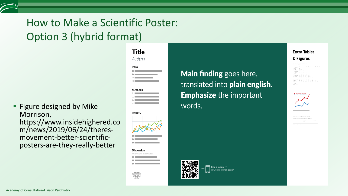### How to Make a Scientific Poster: Option 3 (hybrid format)

**Figure designed by Mike** Morrison, https://www.insidehighered.co m/news/2019/06/24/theresmovement-better-scientificposters-are-they-really-better



**Main finding** goes here, translated into plain english. **Emphasize the important** words.

> Take a picture to download the full paper







Academy of Consultation-Liaison Psychiatry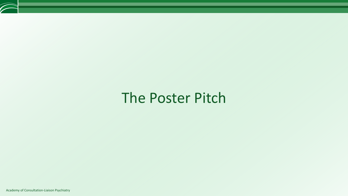## The Poster Pitch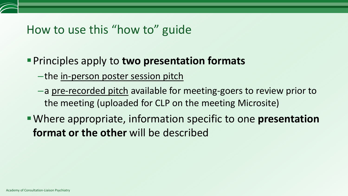## How to use this "how to" guide

#### **Principles apply to two presentation formats**

- –the in-person poster session pitch
- –a pre-recorded pitch available for meeting-goers to review prior to the meeting (uploaded for CLP on the meeting Microsite)
- Where appropriate, information specific to one **presentation format or the other** will be described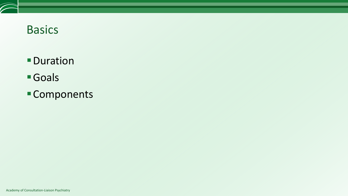## Basics

- **-Duration**
- Goals
- Components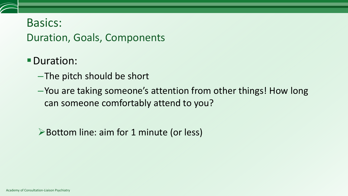#### Basics: Duration, Goals, Components

- Duration:
	- –The pitch should be short
	- –You are taking someone's attention from other things! How long can someone comfortably attend to you?

Bottom line: aim for 1 minute (or less)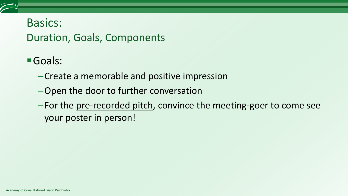#### Basics: Duration, Goals, Components

- Goals:
	- –Create a memorable and positive impression
	- –Open the door to further conversation
	- –For the pre-recorded pitch, convince the meeting-goer to come see your poster in person!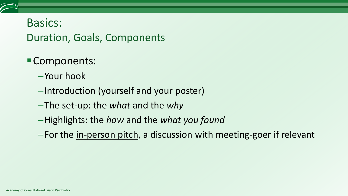#### Basics: Duration, Goals, Components

#### Components:

- –Your hook
- –Introduction (yourself and your poster)
- –The set-up: the *what* and the *why*
- –Highlights: the *how* and the *what you found*
- –For the in-person pitch, a discussion with meeting-goer if relevant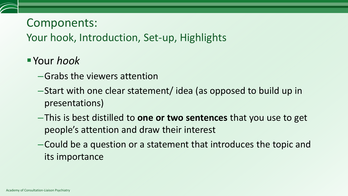Your hook, Introduction, Set-up, Highlights

- Your *hook*
	- –Grabs the viewers attention
	- –Start with one clear statement/ idea (as opposed to build up in presentations)
	- –This is best distilled to **one or two sentences** that you use to get people's attention and draw their interest
	- –Could be a question or a statement that introduces the topic and its importance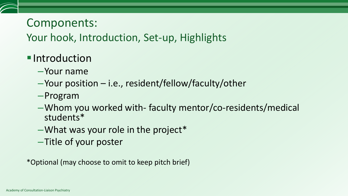Your hook, Introduction, Set-up, Highlights

#### **Introduction**

- –Your name
- –Your position i.e., resident/fellow/faculty/other
- –Program
- –Whom you worked with- faculty mentor/co-residents/medical students\*
- $-W$ hat was your role in the project\*
- –Title of your poster

\*Optional (may choose to omit to keep pitch brief)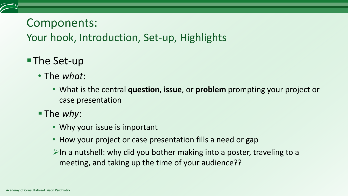Your hook, Introduction, Set-up, Highlights

#### ■The Set-up

- The *what*:
	- What is the central **question**, **issue**, or **problem** prompting your project or case presentation
- The *why*:
	- Why your issue is important
	- How your project or case presentation fills a need or gap
	- $\triangleright$ In a nutshell: why did you bother making into a poster, traveling to a meeting, and taking up the time of your audience??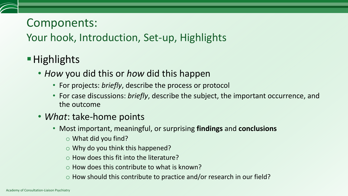#### Your hook, Introduction, Set-up, Highlights

- **Highlights** 
	- *How* you did this or *how* did this happen
		- For projects: *briefly*, describe the process or protocol
		- For case discussions: *briefly*, describe the subject, the important occurrence, and the outcome
	- *What*: take-home points
		- Most important, meaningful, or surprising **findings** and **conclusions**
			- o What did you find?
			- $\circ$  Why do you think this happened?
			- $\circ$  How does this fit into the literature?
			- $\circ$  How does this contribute to what is known?
			- $\circ$  How should this contribute to practice and/or research in our field?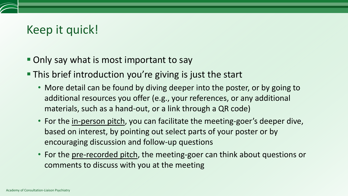## Keep it quick!

- Only say what is most important to say
- This brief introduction you're giving is just the start
	- More detail can be found by diving deeper into the poster, or by going to additional resources you offer (e.g., your references, or any additional materials, such as a hand-out, or a link through a QR code)
	- For the in-person pitch, you can facilitate the meeting-goer's deeper dive, based on interest, by pointing out select parts of your poster or by encouraging discussion and follow-up questions
	- For the <u>pre-recorded pitch</u>, the meeting-goer can think about questions or comments to discuss with you at the meeting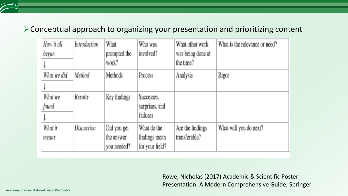#### Conceptual approach to organizing your presentation and prioritizing content

| How it all  | Introduction | What         | Who was         | What other work   | What is the relevance or need? |
|-------------|--------------|--------------|-----------------|-------------------|--------------------------------|
| began       |              | prompted the | involved?       | was being done at |                                |
|             |              | work?        |                 | the time?         |                                |
| What we did | Method       | Methods      | Process         | Analysis          | Rigor                          |
|             |              |              |                 |                   |                                |
| What we     | Results      | Key findings | Successes,      |                   |                                |
| found       |              |              | surprises, and  |                   |                                |
|             |              |              | <i>failures</i> |                   |                                |
| What it     | Discussion   | Did you get  | What do the     | Are the findings  | What will you do next?         |
| means       |              | the answer   | findings mean   | transferable?     |                                |
|             |              | you needed?  | for your field? |                   |                                |

Rowe, Nicholas (2017) Academic & Scientific Poster Presentation: A Modern Comprehensive Guide, Springer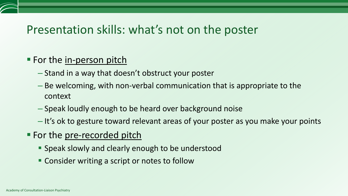#### Presentation skills: what's not on the poster

#### **For the in-person pitch**

- Stand in a way that doesn't obstruct your poster
- Be welcoming, with non-verbal communication that is appropriate to the context
- Speak loudly enough to be heard over background noise
- It's ok to gesture toward relevant areas of your poster as you make your points
- For the pre-recorded pitch
	- **Speak slowly and clearly enough to be understood**
	- Consider writing a script or notes to follow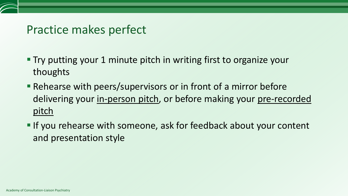#### Practice makes perfect

- Try putting your 1 minute pitch in writing first to organize your thoughts
- Rehearse with peers/supervisors or in front of a mirror before delivering your in-person pitch, or before making your pre-recorded pitch
- If you rehearse with someone, ask for feedback about your content and presentation style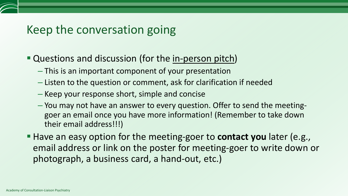#### Keep the conversation going

- Questions and discussion (for the in-person pitch)
	- This is an important component of your presentation
	- Listen to the question or comment, ask for clarification if needed
	- Keep your response short, simple and concise
	- You may not have an answer to every question. Offer to send the meetinggoer an email once you have more information! (Remember to take down their email address!!!)
- Have an easy option for the meeting-goer to **contact you** later (e.g., email address or link on the poster for meeting-goer to write down or photograph, a business card, a hand-out, etc.)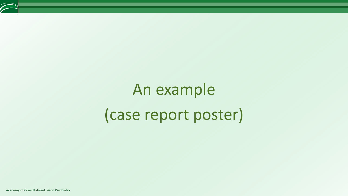# An example (case report poster)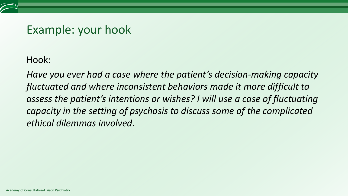#### Example: your hook

Hook:

*Have you ever had a case where the patient's decision-making capacity fluctuated and where inconsistent behaviors made it more difficult to assess the patient's intentions or wishes? I will use a case of fluctuating capacity in the setting of psychosis to discuss some of the complicated ethical dilemmas involved.*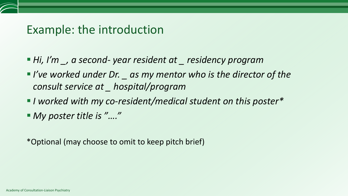#### Example: the introduction

- *Hi, I'm \_, a second- year resident at \_ residency program*
- *I've worked under Dr. \_ as my mentor who is the director of the consult service at \_ hospital/program*
- *I worked with my co-resident/medical student on this poster\**
- *My poster title is "…."*

\*Optional (may choose to omit to keep pitch brief)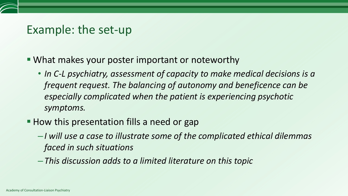#### Example: the set-up

- What makes your poster important or noteworthy
	- In C-L psychiatry, assessment of capacity to make medical decisions is a *frequent request. The balancing of autonomy and beneficence can be especially complicated when the patient is experiencing psychotic symptoms.*
- How this presentation fills a need or gap
	- –*I will use a case to illustrate some of the complicated ethical dilemmas faced in such situations*
	- –*This discussion adds to a limited literature on this topic*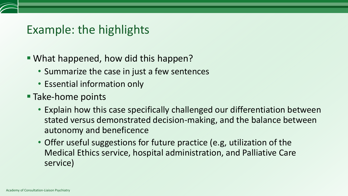## Example: the highlights

- What happened, how did this happen?
	- Summarize the case in just a few sentences
	- Essential information only
- **Take-home points** 
	- Explain how this case specifically challenged our differentiation between stated versus demonstrated decision-making, and the balance between autonomy and beneficence
	- Offer useful suggestions for future practice (e.g, utilization of the Medical Ethics service, hospital administration, and Palliative Care service)